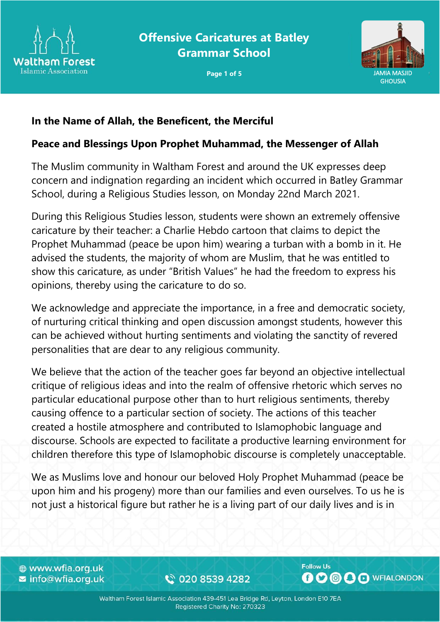



#### **In the Name of Allah, the Beneficent, the Merciful**

#### **Peace and Blessings Upon Prophet Muhammad, the Messenger of Allah**

The Muslim community in Waltham Forest and around the UK expresses deep concern and indignation regarding an incident which occurred in Batley Grammar School, during a Religious Studies lesson, on Monday 22nd March 2021.

During this Religious Studies lesson, students were shown an extremely offensive caricature by their teacher: a Charlie Hebdo cartoon that claims to depict the Prophet Muhammad (peace be upon him) wearing a turban with a bomb in it. He advised the students, the majority of whom are Muslim, that he was entitled to show this caricature, as under "British Values" he had the freedom to express his opinions, thereby using the caricature to do so.

We acknowledge and appreciate the importance, in a free and democratic society, of nurturing critical thinking and open discussion amongst students, however this can be achieved without hurting sentiments and violating the sanctity of revered personalities that are dear to any religious community.

We believe that the action of the teacher goes far beyond an objective intellectual critique of religious ideas and into the realm of offensive rhetoric which serves no particular educational purpose other than to hurt religious sentiments, thereby causing offence to a particular section of society. The actions of this teacher created a hostile atmosphere and contributed to Islamophobic language and discourse. Schools are expected to facilitate a productive learning environment for children therefore this type of Islamophobic discourse is completely unacceptable.

We as Muslims love and honour our beloved Holy Prophet Muhammad (peace be upon him and his progeny) more than our families and even ourselves. To us he is not just a historical figure but rather he is a living part of our daily lives and is in

⊕ www.wfia.org.uk ■ info@wfia.org.uk

€ 020 8539 4282

**Follow Us BOOOO** WFIALONDON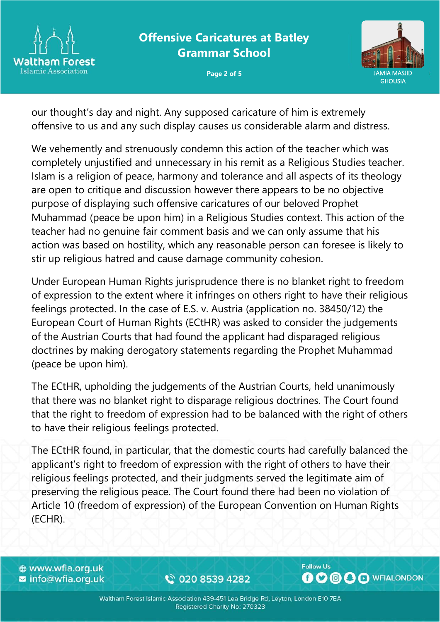



our thought's day and night. Any supposed caricature of him is extremely offensive to us and any such display causes us considerable alarm and distress.

We vehemently and strenuously condemn this action of the teacher which was completely unjustified and unnecessary in his remit as a Religious Studies teacher. Islam is a religion of peace, harmony and tolerance and all aspects of its theology are open to critique and discussion however there appears to be no objective purpose of displaying such offensive caricatures of our beloved Prophet Muhammad (peace be upon him) in a Religious Studies context. This action of the teacher had no genuine fair comment basis and we can only assume that his action was based on hostility, which any reasonable person can foresee is likely to stir up religious hatred and cause damage community cohesion.

Under European Human Rights jurisprudence there is no blanket right to freedom of expression to the extent where it infringes on others right to have their religious feelings protected. In the case of E.S. v. Austria (application no. 38450/12) the European Court of Human Rights (ECtHR) was asked to consider the judgements of the Austrian Courts that had found the applicant had disparaged religious doctrines by making derogatory statements regarding the Prophet Muhammad (peace be upon him).

The ECtHR, upholding the judgements of the Austrian Courts, held unanimously that there was no blanket right to disparage religious doctrines. The Court found that the right to freedom of expression had to be balanced with the right of others to have their religious feelings protected.

The ECtHR found, in particular, that the domestic courts had carefully balanced the applicant's right to freedom of expression with the right of others to have their religious feelings protected, and their judgments served the legitimate aim of preserving the religious peace. The Court found there had been no violation of Article 10 (freedom of expression) of the European Convention on Human Rights (ECHR).

⊕ www.wfia.org.uk ■ info@wfia.org.uk

€ 020 8539 4282

**Follow Us BOOOO** WFIALONDON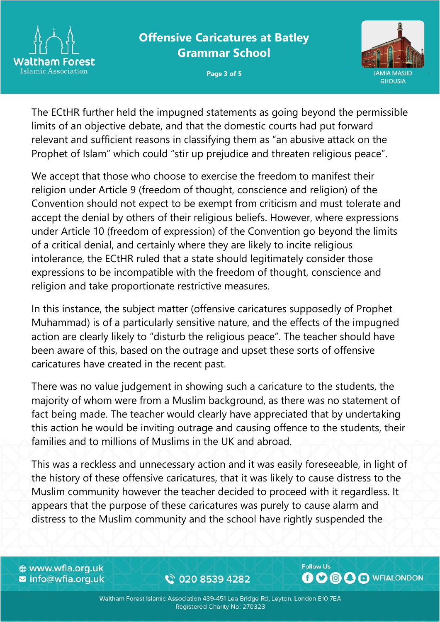



The ECtHR further held the impugned statements as going beyond the permissible limits of an objective debate, and that the domestic courts had put forward relevant and sufficient reasons in classifying them as "an abusive attack on the Prophet of Islam" which could "stir up prejudice and threaten religious peace".

We accept that those who choose to exercise the freedom to manifest their religion under Article 9 (freedom of thought, conscience and religion) of the Convention should not expect to be exempt from criticism and must tolerate and accept the denial by others of their religious beliefs. However, where expressions under Article 10 (freedom of expression) of the Convention go beyond the limits of a critical denial, and certainly where they are likely to incite religious intolerance, the ECtHR ruled that a state should legitimately consider those expressions to be incompatible with the freedom of thought, conscience and religion and take proportionate restrictive measures.

In this instance, the subject matter (offensive caricatures supposedly of Prophet Muhammad) is of a particularly sensitive nature, and the effects of the impugned action are clearly likely to "disturb the religious peace". The teacher should have been aware of this, based on the outrage and upset these sorts of offensive caricatures have created in the recent past.

There was no value judgement in showing such a caricature to the students, the majority of whom were from a Muslim background, as there was no statement of fact being made. The teacher would clearly have appreciated that by undertaking this action he would be inviting outrage and causing offence to the students, their families and to millions of Muslims in the UK and abroad.

This was a reckless and unnecessary action and it was easily foreseeable, in light of the history of these offensive caricatures, that it was likely to cause distress to the Muslim community however the teacher decided to proceed with it regardless. It appears that the purpose of these caricatures was purely to cause alarm and distress to the Muslim community and the school have rightly suspended the

⊕ www.wfia.org.uk ■ info@wfia.org.uk

€ 020 8539 4282

**Follow Us OOOO** O WFIALONDON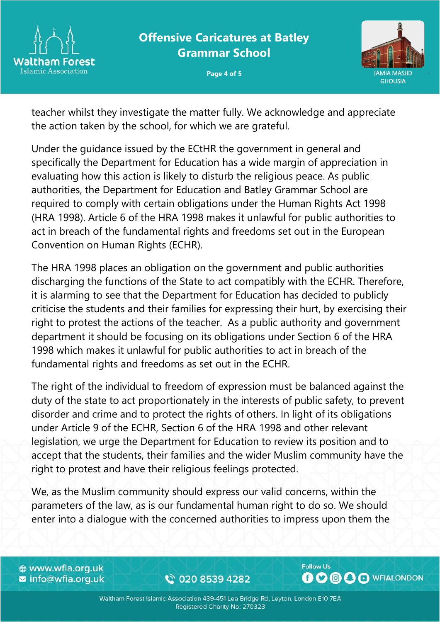



teacher whilst they investigate the matter fully. We acknowledge and appreciate the action taken by the school, for which we are grateful.

Under the guidance issued by the ECtHR the government in general and specifically the Department for Education has a wide margin of appreciation in evaluating how this action is likely to disturb the religious peace. As public authorities, the Department for Education and Batley Grammar School are required to comply with certain obligations under the Human Rights Act 1998 (HRA 1998). Article 6 of the HRA 1998 makes it unlawful for public authorities to act in breach of the fundamental rights and freedoms set out in the European Convention on Human Rights (ECHR).

The HRA 1998 places an obligation on the government and public authorities discharging the functions of the State to act compatibly with the ECHR. Therefore, it is alarming to see that the Department for Education has decided to publicly criticise the students and their families for expressing their hurt, by exercising their right to protest the actions of the teacher. As a public authority and government department it should be focusing on its obligations under Section 6 of the HRA 1998 which makes it unlawful for public authorities to act in breach of the fundamental rights and freedoms as set out in the ECHR.

The right of the individual to freedom of expression must be balanced against the duty of the state to act proportionately in the interests of public safety, to prevent disorder and crime and to protect the rights of others. In light of its obligations under Article 9 of the ECHR, Section 6 of the HRA 1998 and other relevant legislation, we urge the Department for Education to review its position and to accept that the students, their families and the wider Muslim community have the right to protest and have their religious feelings protected.

We, as the Muslim community should express our valid concerns, within the parameters of the law, as is our fundamental human right to do so. We should enter into a dialogue with the concerned authorities to impress upon them the

⊕ www.wfia.org.uk ■ info@wfia.org.uk

€ 020 8539 4282

**Follow Us OOOO** O WFIALONDON